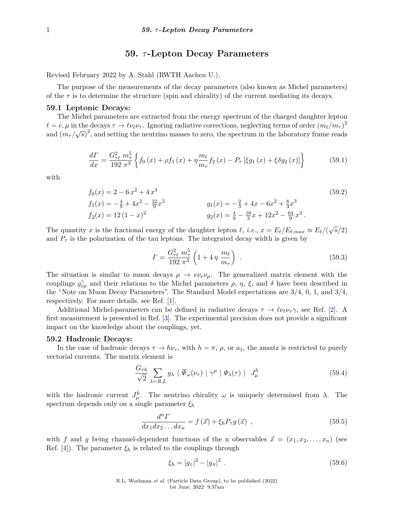# **59.** *τ* **-Lepton Decay Parameters**

Revised February 2022 by A. Stahl (RWTH Aachen U.).

The purpose of the measurements of the decay parameters (also known as Michel parameters) of the  $\tau$  is to determine the structure (spin and chirality) of the current mediating its decays.

#### **59.1 Leptonic Decays:**

The Michel parameters are extracted from the energy spectrum of the charged daughter lepton  $\ell = e, \mu$  in the decays  $\tau \to \ell \nu_\ell \nu_\tau$ . Ignoring radiative corrections, neglecting terms of order  $(m_\ell/m_\tau)^2$  $\alpha = e, \mu$  in the decays  $\gamma \to \ell \nu \ell \nu_{\tau}$ . Ignoring radiative corrections, neglecting terms of order  $(m_{\ell}/m_{\tau})$  and  $(m_{\tau}/\sqrt{s})^2$ , and setting the neutrino masses to zero, the spectrum in the laboratory frame reads

$$
\frac{d\Gamma}{dx} = \frac{G_{\tau\ell}^{2} \ m_{\tau}^{5}}{192 \ \pi^{3}} \left\{ f_{0}\left(x\right) + \rho f_{1}\left(x\right) + \eta \frac{m_{\ell}}{m_{\tau}} f_{2}\left(x\right) - P_{\tau} \left[\xi g_{1}\left(x\right) + \xi \delta g_{2}\left(x\right)\right] \right\} \tag{59.1}
$$

with

$$
f_0(x) = 2 - 6x^2 + 4x^3
$$
  
\n
$$
f_1(x) = -\frac{4}{9} + 4x^2 - \frac{32}{9}x^3
$$
  
\n
$$
f_2(x) = 12(1 - x)^2
$$
  
\n
$$
g_1(x) = -\frac{2}{3} + 4x - 6x^2 + \frac{8}{3}x^3
$$
  
\n
$$
g_2(x) = \frac{4}{9} - \frac{16}{3}x + 12x^2 - \frac{64}{9}x^3
$$
 (59.2)

The quantity *x* is the fractional energy of the daughter lepton  $\ell$ , *i.e.*,  $x = E_{\ell}/E_{\ell,max} \approx E_{\ell}/(\sqrt{s}/2)$ and  $P_{\tau}$  is the polarization of the tau leptons. The integrated decay width is given by

$$
\Gamma = \frac{G_{\tau\ell}^2 m_{\tau}^5}{192 \pi^3} \left( 1 + 4 \eta \frac{m_{\ell}}{m_{\tau}} \right) \,. \tag{59.3}
$$

The situation is similar to muon decays  $\mu \to e\nu_e\nu_\mu$ . The generalized matrix element with the couplings  $g_{\varepsilon\mu}^{\gamma}$  and their relations to the Michel parameters  $\rho$ ,  $\eta$ ,  $\xi$ , and  $\delta$  have been described in the "Note on Muon Decay Parameters". The Standard Model expectations are 3/4, 0, 1, and 3/4, respectively. For more details, see Ref. [\[1\]](#page-2-0).

Additional Michel-parameters can be defined in radiative decays  $\tau \to \ell \nu_{\ell} \nu_{\tau} \gamma$ , see Ref. [\[2\]](#page-2-1). A first measurement is presented in Ref. [\[3\]](#page-2-2). The experimental precision does not provide a significant impact on the knowledge about the couplings, yet.

# **59.2 Hadronic Decays:**

In the case of hadronic decays  $\tau \to h\nu_{\tau}$ , with  $h = \pi$ ,  $\rho$ , or  $a_1$ , the ansatz is restricted to purely vectorial currents. The matrix element is

$$
\frac{G_{\tau h}}{\sqrt{2}} \sum_{\lambda = R, L} g_{\lambda} \langle \overline{\Psi}_{\omega}(\nu_{\tau}) | \gamma^{\mu} | \Psi_{\lambda}(\tau) \rangle J_{\mu}^{h}
$$
 (59.4)

with the hadronic current  $J^h_\mu$ . The neutrino chirality  $\omega$  is uniquely determined from  $\lambda$ . The spectrum depends only on a single parameter *ξ<sup>h</sup>*

$$
\frac{d^{n}\Gamma}{dx_{1}dx_{2}\dots dx_{n}} = f\left(\vec{x}\right) + \xi_{h}P_{\tau}g\left(\vec{x}\right) ,\qquad(59.5)
$$

with *f* and *g* being channel-dependent functions of the n observables  $\vec{x} = (x_1, x_2, \ldots, x_n)$  (see Ref. [\[4\]](#page-2-3)). The parameter  $\xi_h$  is related to the couplings through

$$
\xi_h = |g_L|^2 - |g_R|^2 \tag{59.6}
$$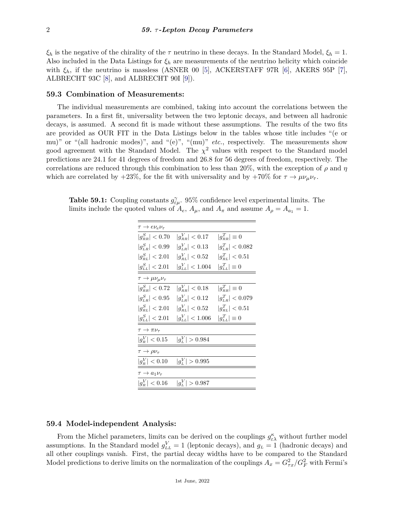*ξ*<sup>*h*</sup> is the negative of the chirality of the *τ* neutrino in these decays. In the Standard Model,  $ξ$ *h* = 1. Also included in the Data Listings for  $\xi_h$  are measurements of the neutrino helicity which coincide with  $\xi_h$ , if the neutrino is massless (ASNER 00 [\[5\]](#page-2-4), ACKERSTAFF 97R [\[6\]](#page-2-5), AKERS 95P [\[7\]](#page-2-6), ALBRECHT 93C [\[8\]](#page-2-7), and ALBRECHT 90I [\[9\]](#page-2-8)).

# **59.3 Combination of Measurements:**

The individual measurements are combined, taking into account the correlations between the parameters. In a first fit, universality between the two leptonic decays, and between all hadronic decays, is assumed. A second fit is made without these assumptions. The results of the two fits are provided as OUR FIT in the Data Listings below in the tables whose title includes "(e or mu)" or "(all hadronic modes)", and "(e)", "(mu)" *etc.*, respectively. The measurements show good agreement with the Standard Model. The  $\chi^2$  values with respect to the Standard model predictions are 24*.*1 for 41 degrees of freedom and 26*.*8 for 56 degrees of freedom, respectively. The correlations are reduced through this combination to less than 20%, with the exception of *ρ* and *η* which are correlated by  $+23\%$ , for the fit with universality and by  $+70\%$  for  $\tau \to \mu \nu_{\mu} \nu_{\tau}$ .

**Table 59.1:** Coupling constants  $g_{\varepsilon\mu}^{\gamma}$ . 95% confidence level experimental limits. The limits include the quoted values of  $A_e$ ,  $A_\mu$ , and  $A_\pi$  and assume  $A_\rho = A_{a_1} = 1$ .

| $\tau \to e \nu_e \nu_\tau$                                       |                        |                                             |
|-------------------------------------------------------------------|------------------------|---------------------------------------------|
| $ g_{BB}^S  < 0.70$                                               | $ g_{_{RR}}^V  < 0.17$ | $ g_{_{BB}}^T  \equiv 0$                    |
| $ g_{\rm \scriptscriptstyle L\rm \scriptscriptstyle R}^S  < 0.99$ | $ g_{LB}^V  < 0.13$    | $ g_{\rm \scriptscriptstyle LB}^T  < 0.082$ |
| $ g_{BL}^{S}  < 2.01$                                             | $ g_{BL}^V  < 0.52$    | $ g_{BL}^{T}  < 0.51$                       |
| $ g_{LL}^{S}  < 2.01$                                             | $ g_{LL}^V  < 1.004$   | $ g_{LL}^T  \equiv 0$                       |
| $\tau \rightarrow \mu \nu_{\mu} \nu_{\tau}$                       |                        |                                             |
| $ g_{_{RB}}^S  < 0.72$                                            | $ g_{_{RR}}^V  < 0.18$ | $ g_{_{BB}}^T  \equiv 0$                    |
| $ g^{S}_{LR}  < 0.95$                                             | $ g^{V}_{LR}  < 0.12$  | $ g_{LB}^T  < 0.079$                        |
| $ g^S_{_{RL}}  < 2.01$                                            | $ g_{BL}^V  < 0.52$    | $ g_{BL}^{T}  < 0.51$                       |
| $ g_{LL}^S  < 2.01$                                               | $ g_{LL}^V  < 1.006$   | $ g_{LL}^T  \equiv 0$                       |
| $\tau \to \pi \nu_{\tau}$                                         |                        |                                             |
| $ g_R^V  < 0.15$                                                  | $ g_L^V  > 0.984$      |                                             |
| $\tau \to \rho \nu_{\tau}$                                        |                        |                                             |
| $ g_R^V  < 0.10$                                                  | $ g_L^V  > 0.995$      |                                             |
| $\tau \rightarrow a_1 \nu_\tau$                                   |                        |                                             |
| $ g_{\scriptscriptstyle B}^V  < 0.16$                             | $ g_L^V  > 0.987$      |                                             |
|                                                                   |                        |                                             |

## **59.4 Model-independent Analysis:**

From the Michel parameters, limits can be derived on the couplings  $g_{\varepsilon\lambda}^{\kappa}$  without further model assumptions. In the Standard model  $g_{LL}^V = 1$  (leptonic decays), and  $g_L = 1$  (hadronic decays) and all other couplings vanish. First, the partial decay widths have to be compared to the Standard Model predictions to derive limits on the normalization of the couplings  $A_x = G_{\tau x}^2/G_F^2$  with Fermi's